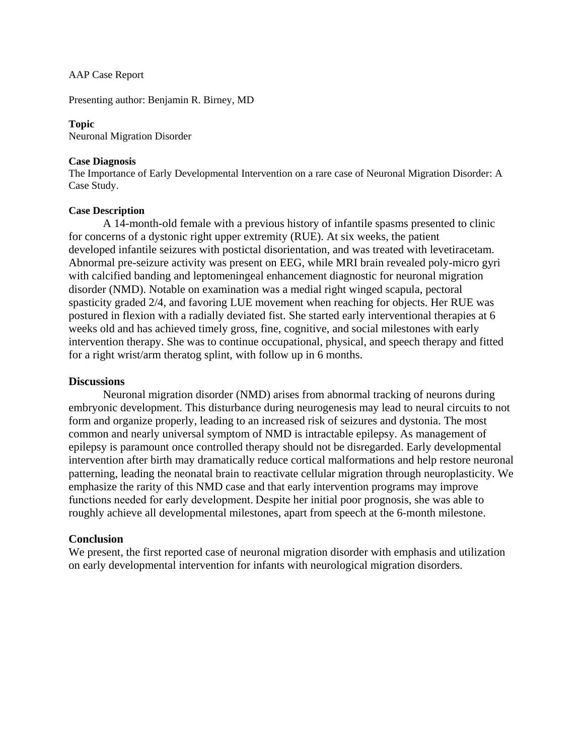### AAP Case Report

Presenting author: Benjamin R. Birney, MD

### **Topic**

Neuronal Migration Disorder

### **Case Diagnosis**

The Importance of Early Developmental Intervention on a rare case of Neuronal Migration Disorder: A Case Study.

### **Case Description**

A 14-month-old female with a previous history of infantile spasms presented to clinic for concerns of a dystonic right upper extremity (RUE). At six weeks, the patient developed infantile seizures with postictal disorientation, and was treated with levetiracetam. Abnormal pre-seizure activity was present on EEG, while MRI brain revealed poly-micro gyri with calcified banding and leptomeningeal enhancement diagnostic for neuronal migration disorder (NMD). Notable on examination was a medial right winged scapula, pectoral spasticity graded 2/4, and favoring LUE movement when reaching for objects. Her RUE was postured in flexion with a radially deviated fist. She started early interventional therapies at 6 weeks old and has achieved timely gross, fine, cognitive, and social milestones with early intervention therapy. She was to continue occupational, physical, and speech therapy and fitted for a right wrist/arm theratog splint, with follow up in 6 months.

# **Discussions**

Neuronal migration disorder (NMD) arises from abnormal tracking of neurons during embryonic development. This disturbance during neurogenesis may lead to neural circuits to not form and organize properly, leading to an increased risk of seizures and dystonia. The most common and nearly universal symptom of NMD is [intractable epilepsy.](https://www.sciencedirect.com/topics/neuroscience/intractable-epilepsy) As management of epilepsy is paramount once controlled therapy should not be disregarded. Early developmental intervention after birth may dramatically reduce cortical malformations and help restore neuronal patterning, leading the neonatal brain to reactivate cellular migration through neuroplasticity. We emphasize the rarity of this NMD case and that early intervention programs may improve functions needed for early development. Despite her initial poor prognosis, she was able to roughly achieve all developmental milestones, apart from speech at the 6-month milestone.

# **Conclusion**

We present, the first reported case of neuronal migration disorder with emphasis and utilization on early developmental intervention for infants with neurological migration disorders.